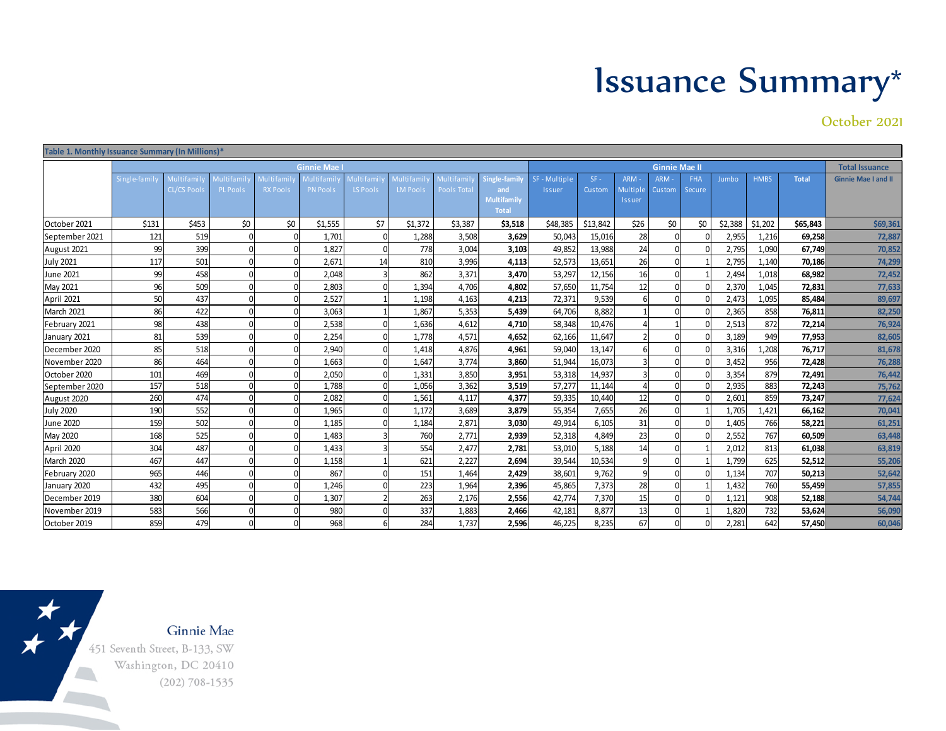## Issuance Summary\*

October 2021

| Table 1. Monthly Issuance Summary (In Millions)* |              |                                  |                               |                                     |                               |                         |                                     |                                   |                                                            |                                |                  |                                         |                      |                      |         |             |              |                            |
|--------------------------------------------------|--------------|----------------------------------|-------------------------------|-------------------------------------|-------------------------------|-------------------------|-------------------------------------|-----------------------------------|------------------------------------------------------------|--------------------------------|------------------|-----------------------------------------|----------------------|----------------------|---------|-------------|--------------|----------------------------|
|                                                  |              |                                  |                               |                                     | <b>Ginnie Mae</b>             |                         |                                     |                                   |                                                            |                                |                  |                                         | <b>Ginnie Mae II</b> |                      |         |             |              | <b>Total Issuance</b>      |
|                                                  | Single-famil | Multifamil<br><b>CL/CS Pools</b> | Multifamil<br><b>PL Pools</b> | <b>Multifami</b><br><b>RX Pools</b> | Multifamil<br><b>PN Pools</b> | Multi famil<br>LS Pools | <b>Multifami</b><br><b>LM Pools</b> | Multi famil<br><b>Pools Total</b> | Single-family<br>and<br><b>Multifamily</b><br><b>Total</b> | SF - Multiple<br><b>Issuer</b> | $SF -$<br>Custom | <b>ARM</b><br>Multiple<br><b>Issuer</b> | ARM -<br>Custom      | <b>FHA</b><br>Secure | Jumbo   | <b>HMBS</b> | <b>Total</b> | <b>Ginnie Mae I and II</b> |
| October 2021                                     | \$131        | \$453                            | \$0                           | \$0                                 | \$1,555                       | \$7                     | \$1,372                             | \$3,387                           | \$3,518                                                    | \$48,385                       | \$13,842         | \$26                                    | \$0                  | \$0                  | \$2,388 | \$1,202     | \$65,843     | \$69,361                   |
| September 2021                                   | 121          | 519                              | $\Omega$                      |                                     | 1,701                         |                         | 1,288                               | 3,508                             | 3,629                                                      | 50,043                         | 15,016           | 28                                      |                      |                      | 2,955   | 1,216       | 69,258       | 72,887                     |
| August 2021                                      | 99           | 399                              | $\Omega$                      | $\Omega$                            | 1,827                         |                         | 778                                 | 3,004                             | 3,103                                                      | 49,852                         | 13,988           | 24                                      |                      |                      | 2,795   | 1,090       | 67,749       | 70,852                     |
| <b>July 2021</b>                                 | 117          | 501                              | $\Omega$                      | $\Omega$                            | 2,671                         | 14                      | 810                                 | 3,996                             | 4,113                                                      | 52,573                         | 13,651           | 26                                      |                      |                      | 2,795   | 1,140       | 70,186       | 74,299                     |
| June 2021                                        | 99           | 458                              | $\Omega$                      | $\Omega$                            | 2.048                         |                         | 862                                 | 3,371                             | 3,470                                                      | 53,297                         | 12,156           | 16                                      |                      |                      | 2,494   | 1.018       | 68,982       | 72,452                     |
| May 2021                                         | 96           | 509                              | $\Omega$                      |                                     | 2,803                         |                         | 1,394                               | 4,706                             | 4,802                                                      | 57,650                         | 11,754           | 12                                      |                      |                      | 2,370   | 1.045       | 72,831       | 77,633                     |
| April 2021                                       | 50           | 437                              | $\Omega$                      |                                     | 2,527                         |                         | 1,198                               | 4,163                             | 4,213                                                      | 72,371                         | 9,539            | 6                                       |                      |                      | 2,473   | 1,095       | 85,484       | 89,697                     |
| March 2021                                       | 86           | 422                              | $\Omega$                      | n                                   | 3,063                         |                         | 1,867                               | 5,353                             | 5,439                                                      | 64,706                         | 8,882            |                                         |                      |                      | 2,365   | 858         | 76,811       | 82,250                     |
| February 2021                                    | 98           | 438                              | $\Omega$                      | $\Omega$                            | 2,538                         |                         | 1,636                               | 4,612                             | 4,710                                                      | 58,348                         | 10,476           |                                         |                      |                      | 2,513   | 872         | 72,214       | 76,924                     |
| January 2021                                     | 81           | 539                              | $\Omega$                      |                                     | 2,254                         |                         | 1,778                               | 4,571                             | 4,652                                                      | 62,166                         | 11,647           |                                         |                      |                      | 3,189   | 949         | 77,953       | 82,605                     |
| December 2020                                    | 85           | 518                              | $\Omega$                      |                                     | 2,940                         |                         | 1.418                               | 4,876                             | 4,961                                                      | 59,040                         | 13,147           |                                         |                      |                      | 3,316   | 1,208       | 76,717       | 81,678                     |
| November 2020                                    | 86           | 464                              | $\Omega$                      | $\Omega$                            | 1,663                         |                         | 1,647                               | 3,774                             | 3,860                                                      | 51,944                         | 16,073           |                                         |                      |                      | 3,452   | 956         | 72,428       | 76,288                     |
| October 2020                                     | 101          | 469                              | $\Omega$                      | $\Omega$                            | 2,050                         |                         | 1,331                               | 3,850                             | 3,951                                                      | 53,318                         | 14,937           |                                         |                      |                      | 3,354   | 879         | 72,491       | 76,442                     |
| September 2020                                   | 157          | 518                              | $\Omega$                      | $\Omega$                            | 1,788                         |                         | 1,056                               | 3,362                             | 3,519                                                      | 57,277                         | 11,144           | $\Delta$                                |                      |                      | 2,935   | 883         | 72,243       | 75,762                     |
| August 2020                                      | 260          | 474                              | $\Omega$                      |                                     | 2,082                         |                         | 1,561                               | 4,117                             | 4,377                                                      | 59,335                         | 10,440           | 12                                      |                      |                      | 2,601   | 859         | 73,247       | 77,624                     |
| <b>July 2020</b>                                 | 190          | 552                              | $\Omega$                      |                                     | 1,965                         |                         | 1.172                               | 3.689                             | 3,879                                                      | 55,354                         | 7,655            | 26                                      |                      |                      | 1,705   | 1.421       | 66,162       | 70,041                     |
| June 2020                                        | 159          | 502                              | $\mathbf 0$                   | n                                   | 1,185                         |                         | 1,184                               | 2,871                             | 3,030                                                      | 49,914                         | 6,105            | 31                                      |                      |                      | 1,405   | 766         | 58,221       | 61,251                     |
| May 2020                                         | 168          | 525                              | $\Omega$                      | n                                   | 1,483                         |                         | 760                                 | 2,771                             | 2,939                                                      | 52,318                         | 4,849            | 23                                      |                      |                      | 2,552   | 767         | 60,509       | 63,448                     |
| April 2020                                       | 304          | 487                              | $\Omega$                      | $\Omega$                            | 1,433                         |                         | 554                                 | 2,477                             | 2,781                                                      | 53,010                         | 5,188            | 14                                      |                      |                      | 2,012   | 813         | 61,038       | 63,819                     |
| March 2020                                       | 467          | 447                              | $\Omega$                      | n                                   | 1,158                         |                         | 621                                 | 2,227                             | 2,694                                                      | 39,544                         | 10,534           | $\overline{9}$                          |                      |                      | 1,799   | 625         | 52,512       | 55,206                     |
| February 2020                                    | 965          | 446                              | $\mathbf 0$                   |                                     | 867                           |                         | 151                                 | 1.464                             | 2,429                                                      | 38,601                         | 9,762            | $\overline{9}$                          |                      |                      | 1,134   | 707         | 50,213       | 52,642                     |
| January 2020                                     | 432          | 495                              | $\Omega$                      | $\Omega$                            | 1,246                         |                         | 223                                 | 1,964                             | 2,396                                                      | 45,865                         | 7,373            | 28                                      |                      |                      | 1,432   | 760         | 55,459       | 57,855                     |
| December 2019                                    | 380          | 604                              | $\Omega$                      | $\Omega$                            | 1,307                         |                         | 263                                 | 2,176                             | 2,556                                                      | 42,774                         | 7,370            | 15                                      |                      |                      | 1,121   | 908         | 52,188       | 54,744                     |
| November 2019                                    | 583          | 566                              | $\Omega$                      |                                     | 980                           |                         | 337                                 | 1,883                             | 2,466                                                      | 42,181                         | 8,877            | 13                                      |                      |                      | 1,820   | 732         | 53,624       | 56,090                     |
| October 2019                                     | 859          | 479                              | $\Omega$                      |                                     | 968                           |                         | 284                                 | 1,737                             | 2,596                                                      | 46,225                         | 8,235            | 67                                      |                      |                      | 2,281   | 642         | 57,450       | 60,046                     |